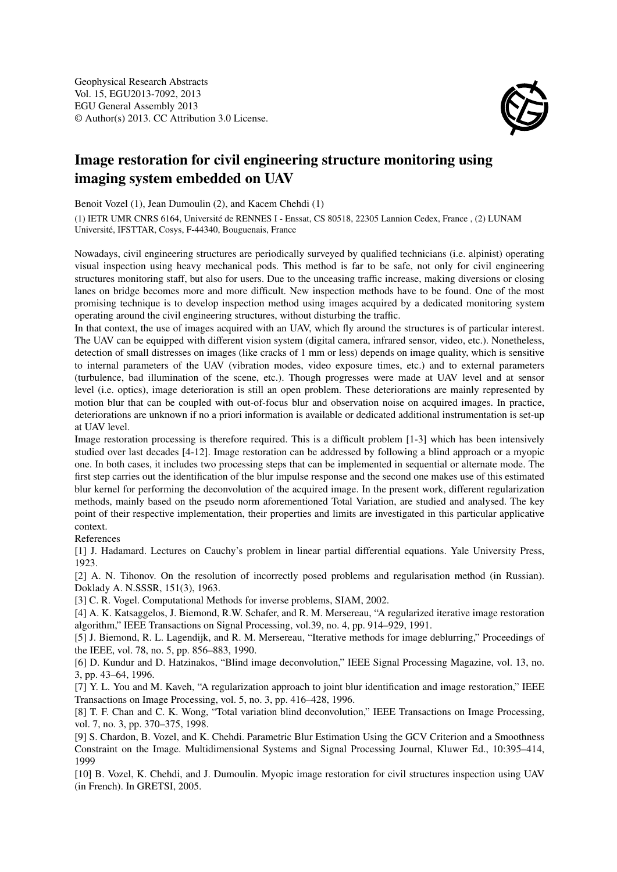

## Image restoration for civil engineering structure monitoring using imaging system embedded on UAV

Benoit Vozel (1), Jean Dumoulin (2), and Kacem Chehdi (1)

(1) IETR UMR CNRS 6164, Université de RENNES I - Enssat, CS 80518, 22305 Lannion Cedex, France , (2) LUNAM Université, IFSTTAR, Cosys, F-44340, Bouguenais, France

Nowadays, civil engineering structures are periodically surveyed by qualified technicians (i.e. alpinist) operating visual inspection using heavy mechanical pods. This method is far to be safe, not only for civil engineering structures monitoring staff, but also for users. Due to the unceasing traffic increase, making diversions or closing lanes on bridge becomes more and more difficult. New inspection methods have to be found. One of the most promising technique is to develop inspection method using images acquired by a dedicated monitoring system operating around the civil engineering structures, without disturbing the traffic.

In that context, the use of images acquired with an UAV, which fly around the structures is of particular interest. The UAV can be equipped with different vision system (digital camera, infrared sensor, video, etc.). Nonetheless, detection of small distresses on images (like cracks of 1 mm or less) depends on image quality, which is sensitive to internal parameters of the UAV (vibration modes, video exposure times, etc.) and to external parameters (turbulence, bad illumination of the scene, etc.). Though progresses were made at UAV level and at sensor level (i.e. optics), image deterioration is still an open problem. These deteriorations are mainly represented by motion blur that can be coupled with out-of-focus blur and observation noise on acquired images. In practice, deteriorations are unknown if no a priori information is available or dedicated additional instrumentation is set-up at UAV level.

Image restoration processing is therefore required. This is a difficult problem [1-3] which has been intensively studied over last decades [4-12]. Image restoration can be addressed by following a blind approach or a myopic one. In both cases, it includes two processing steps that can be implemented in sequential or alternate mode. The first step carries out the identification of the blur impulse response and the second one makes use of this estimated blur kernel for performing the deconvolution of the acquired image. In the present work, different regularization methods, mainly based on the pseudo norm aforementioned Total Variation, are studied and analysed. The key point of their respective implementation, their properties and limits are investigated in this particular applicative context.

References

[1] J. Hadamard. Lectures on Cauchy's problem in linear partial differential equations. Yale University Press, 1923.

[2] A. N. Tihonov. On the resolution of incorrectly posed problems and regularisation method (in Russian). Doklady A. N.SSSR, 151(3), 1963.

[3] C. R. Vogel. Computational Methods for inverse problems, SIAM, 2002.

[4] A. K. Katsaggelos, J. Biemond, R.W. Schafer, and R. M. Mersereau, "A regularized iterative image restoration algorithm," IEEE Transactions on Signal Processing, vol.39, no. 4, pp. 914–929, 1991.

[5] J. Biemond, R. L. Lagendijk, and R. M. Mersereau, "Iterative methods for image deblurring," Proceedings of the IEEE, vol. 78, no. 5, pp. 856–883, 1990.

[6] D. Kundur and D. Hatzinakos, "Blind image deconvolution," IEEE Signal Processing Magazine, vol. 13, no. 3, pp. 43–64, 1996.

[7] Y. L. You and M. Kaveh, "A regularization approach to joint blur identification and image restoration," IEEE Transactions on Image Processing, vol. 5, no. 3, pp. 416–428, 1996.

[8] T. F. Chan and C. K. Wong, "Total variation blind deconvolution," IEEE Transactions on Image Processing, vol. 7, no. 3, pp. 370–375, 1998.

[9] S. Chardon, B. Vozel, and K. Chehdi. Parametric Blur Estimation Using the GCV Criterion and a Smoothness Constraint on the Image. Multidimensional Systems and Signal Processing Journal, Kluwer Ed., 10:395–414, 1999

[10] B. Vozel, K. Chehdi, and J. Dumoulin. Myopic image restoration for civil structures inspection using UAV (in French). In GRETSI, 2005.